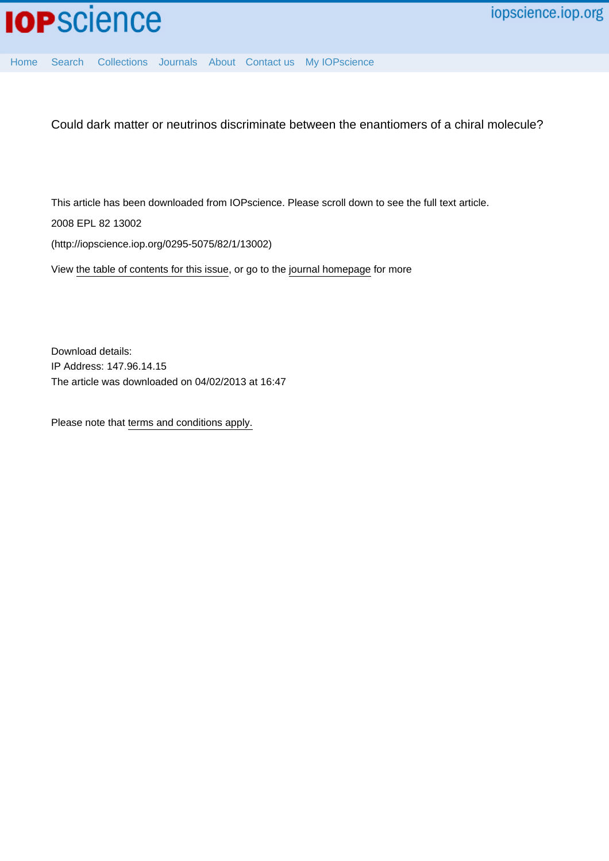

[Home](http://iopscience.iop.org/) [Search](http://iopscience.iop.org/search) [Collections](http://iopscience.iop.org/collections) [Journals](http://iopscience.iop.org/journals) [About](http://iopscience.iop.org/page/aboutioppublishing) [Contact us](http://iopscience.iop.org/contact) [My IOPscience](http://iopscience.iop.org/myiopscience)

Could dark matter or neutrinos discriminate between the enantiomers of a chiral molecule?

This article has been downloaded from IOPscience. Please scroll down to see the full text article.

2008 EPL 82 13002

(http://iopscience.iop.org/0295-5075/82/1/13002)

View [the table of contents for this issue](http://iopscience.iop.org/0295-5075/82/1), or go to the [journal homepage](http://iopscience.iop.org/0295-5075) for more

Download details: IP Address: 147.96.14.15 The article was downloaded on 04/02/2013 at 16:47

Please note that [terms and conditions apply.](http://iopscience.iop.org/page/terms)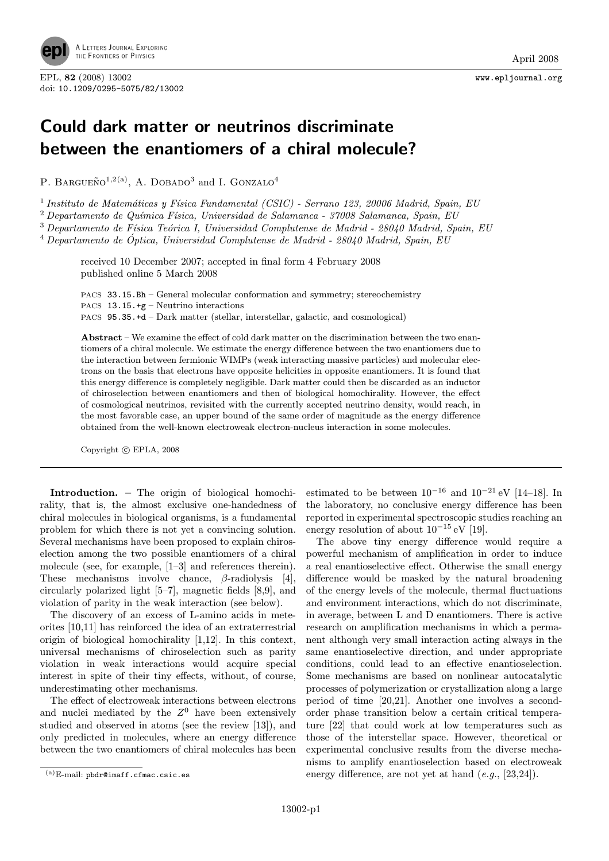

## Could dark matter or neutrinos discriminate between the enantiomers of a chiral molecule?

P. BARGUEÑO<sup>1,2(a)</sup>, A. DOBADO<sup>3</sup> and I. GONZALO<sup>4</sup>

<sup>1</sup> Instituto de Matemáticas y Física Fundamental (CSIC) - Serrano 123, 20006 Madrid, Spain, EU

 $2$  Departamento de Química Física, Universidad de Salamanca - 37008 Salamanca, Spain, EU

 $3$  Departamento de Física Teórica I, Universidad Complutense de Madrid - 28040 Madrid, Spain, EU

 $4$  Departamento de Óptica, Universidad Complutense de Madrid - 28040 Madrid, Spain, EU

received 10 December 2007; accepted in final form 4 February 2008 published online 5 March 2008

PACS 33.15.Bh – General molecular conformation and symmetry; stereochemistry PACS 13.15.+g – Neutrino interactions PACS 95.35.+d – Dark matter (stellar, interstellar, galactic, and cosmological)

Abstract – We examine the effect of cold dark matter on the discrimination between the two enantiomers of a chiral molecule. We estimate the energy difference between the two enantiomers due to the interaction between fermionic WIMPs (weak interacting massive particles) and molecular electrons on the basis that electrons have opposite helicities in opposite enantiomers. It is found that this energy difference is completely negligible. Dark matter could then be discarded as an inductor of chiroselection between enantiomers and then of biological homochirality. However, the effect of cosmological neutrinos, revisited with the currently accepted neutrino density, would reach, in the most favorable case, an upper bound of the same order of magnitude as the energy difference obtained from the well-known electroweak electron-nucleus interaction in some molecules.

Copyright  $\odot$  EPLA, 2008

Introduction. – The origin of biological homochirality, that is, the almost exclusive one-handedness of chiral molecules in biological organisms, is a fundamental problem for which there is not yet a convincing solution. Several mechanisms have been proposed to explain chiroselection among the two possible enantiomers of a chiral molecule (see, for example, [1–3] and references therein). These mechanisms involve chance,  $\beta$ -radiolysis [4], circularly polarized light [5–7], magnetic fields [8,9], and violation of parity in the weak interaction (see below).

The discovery of an excess of L-amino acids in meteorites [10,11] has reinforced the idea of an extraterrestrial origin of biological homochirality [1,12]. In this context, universal mechanisms of chiroselection such as parity violation in weak interactions would acquire special interest in spite of their tiny effects, without, of course, underestimating other mechanisms.

The effect of electroweak interactions between electrons and nuclei mediated by the  $Z<sup>0</sup>$  have been extensively studied and observed in atoms (see the review [13]), and only predicted in molecules, where an energy difference between the two enantiomers of chiral molecules has been

estimated to be between  $10^{-16}$  and  $10^{-21}$  eV [14–18]. In the laboratory, no conclusive energy difference has been reported in experimental spectroscopic studies reaching an energy resolution of about  $10^{-15}$  eV [19].

The above tiny energy difference would require a powerful mechanism of amplification in order to induce a real enantioselective effect. Otherwise the small energy difference would be masked by the natural broadening of the energy levels of the molecule, thermal fluctuations and environment interactions, which do not discriminate, in average, between L and D enantiomers. There is active research on amplification mechanisms in which a permanent although very small interaction acting always in the same enantioselective direction, and under appropriate conditions, could lead to an effective enantioselection. Some mechanisms are based on nonlinear autocatalytic processes of polymerization or crystallization along a large period of time [20,21]. Another one involves a secondorder phase transition below a certain critical temperature [22] that could work at low temperatures such as those of the interstellar space. However, theoretical or experimental conclusive results from the diverse mechanisms to amplify enantioselection based on electroweak energy difference, are not yet at hand  $(e.g., [23,24])$ .

 $(a)$ E-mail:  $pbdr@imaff.cfmac.csic.es$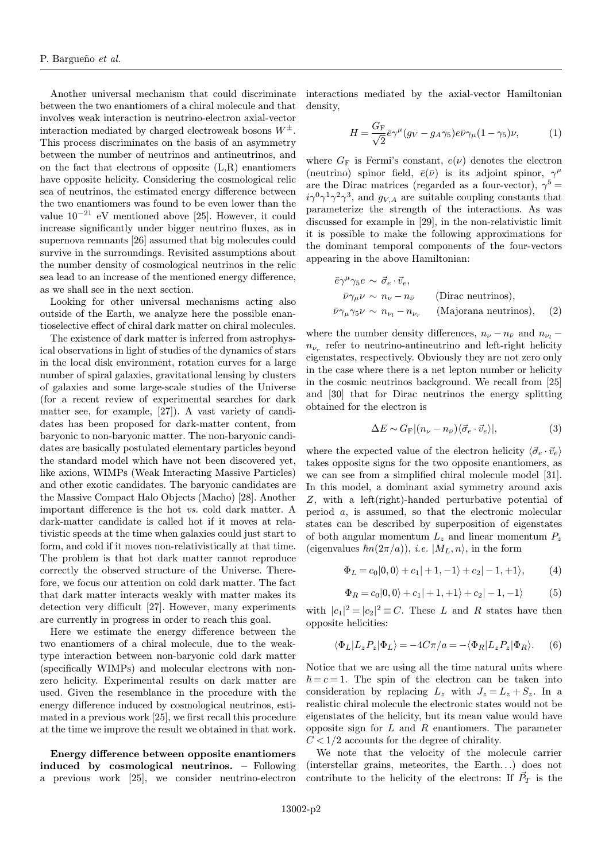Another universal mechanism that could discriminate between the two enantiomers of a chiral molecule and that involves weak interaction is neutrino-electron axial-vector interaction mediated by charged electroweak bosons  $W^{\pm}$ . This process discriminates on the basis of an asymmetry between the number of neutrinos and antineutrinos, and on the fact that electrons of opposite (L,R) enantiomers have opposite helicity. Considering the cosmological relic sea of neutrinos, the estimated energy difference between the two enantiomers was found to be even lower than the value  $10^{-21}$  eV mentioned above [25]. However, it could increase significantly under bigger neutrino fluxes, as in supernova remnants [26] assumed that big molecules could survive in the surroundings. Revisited assumptions about the number density of cosmological neutrinos in the relic sea lead to an increase of the mentioned energy difference, as we shall see in the next section.

Looking for other universal mechanisms acting also outside of the Earth, we analyze here the possible enantioselective effect of chiral dark matter on chiral molecules.

The existence of dark matter is inferred from astrophysical observations in light of studies of the dynamics of stars in the local disk environment, rotation curves for a large number of spiral galaxies, gravitational lensing by clusters of galaxies and some large-scale studies of the Universe (for a recent review of experimental searches for dark matter see, for example, [27]). A vast variety of candidates has been proposed for dark-matter content, from baryonic to non-baryonic matter. The non-baryonic candidates are basically postulated elementary particles beyond the standard model which have not been discovered yet, like axions, WIMPs (Weak Interacting Massive Particles) and other exotic candidates. The baryonic candidates are the Massive Compact Halo Objects (Macho) [28]. Another important difference is the hot vs. cold dark matter. A dark-matter candidate is called hot if it moves at relativistic speeds at the time when galaxies could just start to form, and cold if it moves non-relativistically at that time. The problem is that hot dark matter cannot reproduce correctly the observed structure of the Universe. Therefore, we focus our attention on cold dark matter. The fact that dark matter interacts weakly with matter makes its detection very difficult [27]. However, many experiments are currently in progress in order to reach this goal.

Here we estimate the energy difference between the two enantiomers of a chiral molecule, due to the weaktype interaction between non-baryonic cold dark matter (specifically WIMPs) and molecular electrons with nonzero helicity. Experimental results on dark matter are used. Given the resemblance in the procedure with the energy difference induced by cosmological neutrinos, estimated in a previous work [25], we first recall this procedure at the time we improve the result we obtained in that work.

Energy difference between opposite enantiomers induced by cosmological neutrinos. – Following a previous work [25], we consider neutrino-electron interactions mediated by the axial-vector Hamiltonian density,

$$
H = \frac{G_{\rm F}}{\sqrt{2}} \bar{e} \gamma^{\mu} (g_V - g_A \gamma_5) e \bar{\nu} \gamma_{\mu} (1 - \gamma_5) \nu, \tag{1}
$$

where  $G_F$  is Fermi's constant,  $e(\nu)$  denotes the electron (neutrino) spinor field,  $\bar{e}(\bar{\nu})$  is its adjoint spinor,  $\gamma^{\mu}$ are the Dirac matrices (regarded as a four-vector),  $\gamma^5$  =  $i\gamma^0\gamma^1\gamma^2\gamma^3$ , and  $g_{V,A}$  are suitable coupling constants that parameterize the strength of the interactions. As was discussed for example in [29], in the non-relativistic limit it is possible to make the following approximations for the dominant temporal components of the four-vectors appearing in the above Hamiltonian:

$$
\bar{e}\gamma^{\mu}\gamma_{5}e \sim \vec{\sigma}_{e} \cdot \vec{v}_{e},
$$
  
\n
$$
\bar{\nu}\gamma_{\mu}\nu \sim n_{\nu} - n_{\bar{\nu}} \qquad \text{(Dirac neutrinos)},
$$
  
\n
$$
\bar{\nu}\gamma_{\mu}\gamma_{5}\nu \sim n_{\nu_{l}} - n_{\nu_{r}} \qquad \text{(Majorana neutrinos)}, \qquad (2)
$$

where the number density differences,  $n_{\nu} - n_{\bar{\nu}}$  and  $n_{\nu}$  $n_{\nu_r}$  refer to neutrino-antineutrino and left-right helicity eigenstates, respectively. Obviously they are not zero only in the case where there is a net lepton number or helicity in the cosmic neutrinos background. We recall from [25] and [30] that for Dirac neutrinos the energy splitting obtained for the electron is

$$
\Delta E \sim G_{\rm F} |(n_{\nu} - n_{\bar{\nu}}) \langle \vec{\sigma}_e \cdot \vec{v}_e \rangle|, \tag{3}
$$

where the expected value of the electron helicity  $\langle \vec{\sigma}_e \cdot \vec{v}_e \rangle$ takes opposite signs for the two opposite enantiomers, as we can see from a simplified chiral molecule model [31]. In this model, a dominant axial symmetry around axis Z, with a left(right)-handed perturbative potential of period a, is assumed, so that the electronic molecular states can be described by superposition of eigenstates of both angular momentum  $L_z$  and linear momentum  $P_z$ (eigenvalues  $\hbar n(2\pi/a)$ ), *i.e.*  $|M_L, n\rangle$ , in the form

$$
\Phi_L = c_0|0,0\rangle + c_1|+1,-1\rangle + c_2|-1,+1\rangle, \qquad (4)
$$

$$
\Phi_R = c_0|0,0\rangle + c_1|+1,+1\rangle + c_2|-1,-1\rangle \tag{5}
$$

with  $|c_1|^2 = |c_2|^2 \equiv C$ . These L and R states have then opposite helicities:

$$
\langle \Phi_L | L_z P_z | \Phi_L \rangle = -4C\pi/a = -\langle \Phi_R | L_z P_z | \Phi_R \rangle. \tag{6}
$$

Notice that we are using all the time natural units where  $\hbar = c = 1$ . The spin of the electron can be taken into consideration by replacing  $L_z$  with  $J_z = L_z + S_z$ . In a realistic chiral molecule the electronic states would not be eigenstates of the helicity, but its mean value would have opposite sign for  $L$  and  $R$  enantiomers. The parameter  $C < 1/2$  accounts for the degree of chirality.

We note that the velocity of the molecule carrier (interstellar grains, meteorites, the Earth...) does not contribute to the helicity of the electrons: If  $\vec{P}_T$  is the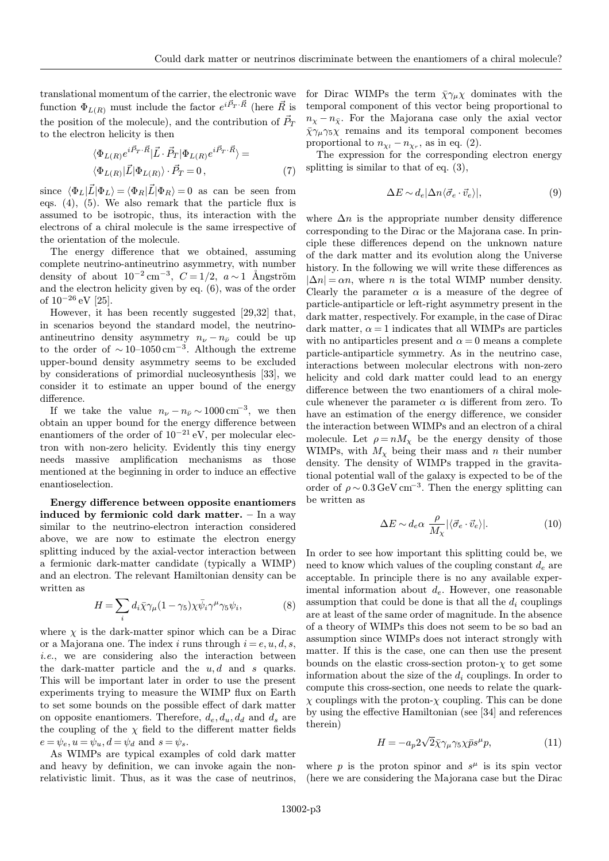translational momentum of the carrier, the electronic wave function  $\Phi_{L(R)}$  must include the factor  $e^{i\vec{P}_T \cdot \vec{R}}$  (here  $\vec{R}$  is the position of the molecule), and the contribution of  $\vec{P}_T$ to the electron helicity is then

$$
\langle \Phi_{L(R)} e^{i\vec{P}_T \cdot \vec{R}} | \vec{L} \cdot \vec{P}_T | \Phi_{L(R)} e^{i\vec{P}_T \cdot \vec{R}} \rangle =
$$
  

$$
\langle \Phi_{L(R)} | \vec{L} | \Phi_{L(R)} \rangle \cdot \vec{P}_T = 0, \qquad (7)
$$

since  $\langle \Phi_L | \vec{L} | \Phi_L \rangle = \langle \Phi_R | \vec{L} | \Phi_R \rangle = 0$  as can be seen from eqs. (4), (5). We also remark that the particle flux is assumed to be isotropic, thus, its interaction with the electrons of a chiral molecule is the same irrespective of the orientation of the molecule.

The energy difference that we obtained, assuming complete neutrino-antineutrino asymmetry, with number density of about  $10^{-2} \text{ cm}^{-3}$ ,  $C = 1/2$ ,  $a \sim 1$  Ångström and the electron helicity given by eq. (6), was of the order of  $10^{-26}$  eV [25].

However, it has been recently suggested [29,32] that, in scenarios beyond the standard model, the neutrinoantineutrino density asymmetry  $n_{\nu} - n_{\bar{\nu}}$  could be up to the order of  $\sim$  10–1050 cm<sup>-3</sup>. Although the extreme upper-bound density asymmetry seems to be excluded by considerations of primordial nucleosynthesis [33], we consider it to estimate an upper bound of the energy difference.

If we take the value  $n_{\nu} - n_{\bar{\nu}} \sim 1000 \text{ cm}^{-3}$ , we then obtain an upper bound for the energy difference between enantiomers of the order of  $10^{-21}$  eV, per molecular electron with non-zero helicity. Evidently this tiny energy needs massive amplification mechanisms as those mentioned at the beginning in order to induce an effective enantioselection.

Energy difference between opposite enantiomers induced by fermionic cold dark matter. – In a way similar to the neutrino-electron interaction considered above, we are now to estimate the electron energy splitting induced by the axial-vector interaction between a fermionic dark-matter candidate (typically a WIMP) and an electron. The relevant Hamiltonian density can be written as

$$
H = \sum_{i} d_i \bar{\chi} \gamma_{\mu} (1 - \gamma_5) \chi \bar{\psi}_i \gamma^{\mu} \gamma_5 \psi_i, \qquad (8)
$$

where  $\chi$  is the dark-matter spinor which can be a Dirac or a Majorana one. The index i runs through  $i = e, u, d, s$ , i.e., we are considering also the interaction between the dark-matter particle and the  $u, d$  and s quarks. This will be important later in order to use the present experiments trying to measure the WIMP flux on Earth to set some bounds on the possible effect of dark matter on opposite enantiomers. Therefore,  $d_e, d_u, d_d$  and  $d_s$  are the coupling of the  $\chi$  field to the different matter fields  $e = \psi_e, u = \psi_u, d = \psi_d$  and  $s = \psi_s$ .

As WIMPs are typical examples of cold dark matter and heavy by definition, we can invoke again the nonrelativistic limit. Thus, as it was the case of neutrinos, for Dirac WIMPs the term  $\bar{\chi}\gamma_\mu\chi$  dominates with the temporal component of this vector being proportional to  $n_{\chi} - n_{\bar{\chi}}$ . For the Majorana case only the axial vector  $\bar{\chi}\gamma_{\mu}\gamma_{5}\chi$  remains and its temporal component becomes proportional to  $n_{\chi_l} - n_{\chi_r}$ , as in eq. (2).

The expression for the corresponding electron energy splitting is similar to that of eq.  $(3)$ ,

$$
\Delta E \sim d_e |\Delta n \langle \vec{\sigma}_e \cdot \vec{v}_e \rangle|, \tag{9}
$$

where  $\Delta n$  is the appropriate number density difference corresponding to the Dirac or the Majorana case. In principle these differences depend on the unknown nature of the dark matter and its evolution along the Universe history. In the following we will write these differences as  $|\Delta n| = \alpha n$ , where n is the total WIMP number density. Clearly the parameter  $\alpha$  is a measure of the degree of particle-antiparticle or left-right asymmetry present in the dark matter, respectively. For example, in the case of Dirac dark matter,  $\alpha = 1$  indicates that all WIMPs are particles with no antiparticles present and  $\alpha = 0$  means a complete particle-antiparticle symmetry. As in the neutrino case, interactions between molecular electrons with non-zero helicity and cold dark matter could lead to an energy difference between the two enantiomers of a chiral molecule whenever the parameter  $\alpha$  is different from zero. To have an estimation of the energy difference, we consider the interaction between WIMPs and an electron of a chiral molecule. Let  $\rho = nM_\chi$  be the energy density of those WIMPs, with  $M_{\chi}$  being their mass and n their number density. The density of WIMPs trapped in the gravitational potential wall of the galaxy is expected to be of the order of  $\rho \sim 0.3 \,\text{GeV} \,\text{cm}^{-3}$ . Then the energy splitting can be written as

$$
\Delta E \sim d_e \alpha \frac{\rho}{M_\chi} |\langle \vec{\sigma}_e \cdot \vec{v}_e \rangle|.
$$
 (10)

In order to see how important this splitting could be, we need to know which values of the coupling constant  $d_e$  are acceptable. In principle there is no any available experimental information about  $d_e$ . However, one reasonable assumption that could be done is that all the  $d_i$  couplings are at least of the same order of magnitude. In the absence of a theory of WIMPs this does not seem to be so bad an assumption since WIMPs does not interact strongly with matter. If this is the case, one can then use the present bounds on the elastic cross-section proton- $\chi$  to get some information about the size of the  $d_i$  couplings. In order to compute this cross-section, one needs to relate the quark- $\chi$  couplings with the proton- $\chi$  coupling. This can be done by using the effective Hamiltonian (see [34] and references therein)

$$
H = -a_p 2\sqrt{2}\bar{\chi}\gamma_\mu\gamma_5\chi\bar{p}s^\mu p,\tag{11}
$$

where p is the proton spinor and  $s^{\mu}$  is its spin vector (here we are considering the Majorana case but the Dirac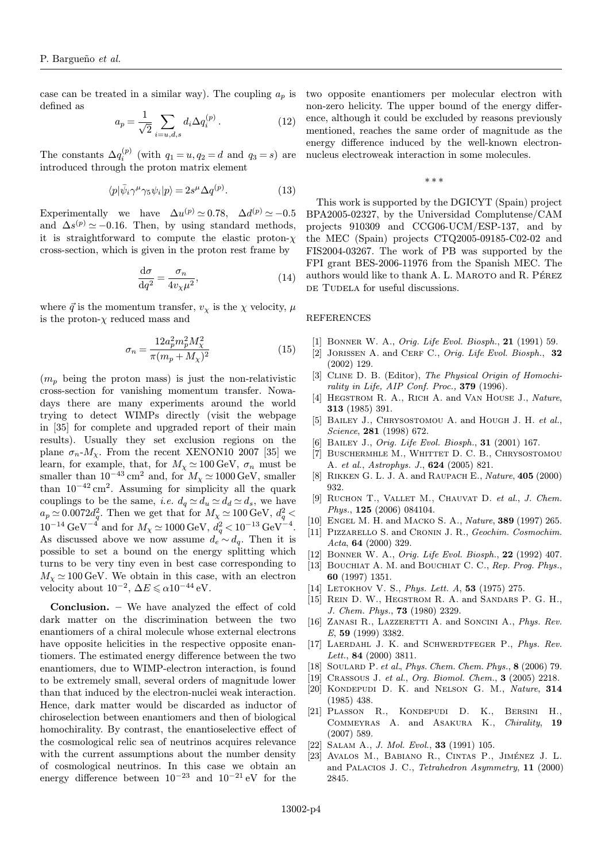case can be treated in a similar way). The coupling  $a_p$  is defined as

$$
a_p = \frac{1}{\sqrt{2}} \sum_{i=u,d,s} d_i \Delta q_i^{(p)}.
$$
 (12)

The constants  $\Delta q_i^{(p)}$  (with  $q_1 = u, q_2 = d$  and  $q_3 = s$ ) are introduced through the proton matrix element

$$
\langle p|\bar{\psi}_i\gamma^\mu\gamma_5\psi_i|p\rangle = 2s^\mu \Delta q^{(p)}.\tag{13}
$$

Experimentally we have  $\Delta u^{(p)} \simeq 0.78$ ,  $\Delta d^{(p)} \simeq -0.5$ and  $\Delta s^{(p)} \simeq -0.16$ . Then, by using standard methods, it is straightforward to compute the elastic proton- $\chi$ cross-section, which is given in the proton rest frame by

$$
\frac{\mathrm{d}\sigma}{\mathrm{d}q^2} = \frac{\sigma_n}{4v_x\mu^2},\tag{14}
$$

where  $\vec{q}$  is the momentum transfer,  $v_{\chi}$  is the  $\chi$  velocity,  $\mu$ is the proton- $\chi$  reduced mass and

$$
\sigma_n = \frac{12a_p^2m_p^2M_\chi^2}{\pi(m_p + M_\chi)^2}
$$
\n(15)

 $(m_n)$  being the proton mass) is just the non-relativistic cross-section for vanishing momentum transfer. Nowadays there are many experiments around the world trying to detect WIMPs directly (visit the webpage in [35] for complete and upgraded report of their main results). Usually they set exclusion regions on the plane  $\sigma_n$ - $M_\chi$ . From the recent XENON10 2007 [35] we learn, for example, that, for  $M_{\chi} \simeq 100 \,\text{GeV}, \sigma_n$  must be smaller than  $10^{-43}$  cm<sup>2</sup> and, for  $M_{\chi} \simeq 1000$  GeV, smaller than  $10^{-42}$  cm<sup>2</sup>. Assuming for simplicity all the quark couplings to be the same, *i.e.*  $d_q \simeq d_u \simeq d_d \simeq d_s$ , we have  $a_p \simeq 0.0072 d_q^2.$  Then we get that for  $M_\chi \simeq 100\,{\rm GeV},\,d_q^2 <$  $10^{-14} \text{ GeV}^{-4}$  and for  $M_{\chi} \simeq 1000 \text{ GeV}, d_q^2 < 10^{-13} \text{ GeV}^{-4}$ . As discussed above we now assume  $d_e \sim d_q$ . Then it is possible to set a bound on the energy splitting which turns to be very tiny even in best case corresponding to  $M_{\rm Y} \simeq 100 \,\text{GeV}$ . We obtain in this case, with an electron velocity about  $10^{-2}$ ,  $\Delta E \le \alpha 10^{-44}$  eV.

Conclusion. – We have analyzed the effect of cold dark matter on the discrimination between the two enantiomers of a chiral molecule whose external electrons have opposite helicities in the respective opposite enantiomers. The estimated energy difference between the two enantiomers, due to WIMP-electron interaction, is found to be extremely small, several orders of magnitude lower than that induced by the electron-nuclei weak interaction. Hence, dark matter would be discarded as inductor of chiroselection between enantiomers and then of biological homochirality. By contrast, the enantioselective effect of the cosmological relic sea of neutrinos acquires relevance with the current assumptions about the number density of cosmological neutrinos. In this case we obtain an energy difference between  $10^{-23}$  and  $10^{-21}$  eV for the two opposite enantiomers per molecular electron with non-zero helicity. The upper bound of the energy difference, although it could be excluded by reasons previously mentioned, reaches the same order of magnitude as the energy difference induced by the well-known electronnucleus electroweak interaction in some molecules.

∗∗∗

This work is supported by the DGICYT (Spain) project BPA2005-02327, by the Universidad Complutense/CAM projects 910309 and CCG06-UCM/ESP-137, and by the MEC (Spain) projects CTQ2005-09185-C02-02 and FIS2004-03267. The work of PB was supported by the FPI grant BES-2006-11976 from the Spanish MEC. The authors would like to thank A. L. MAROTO and R. PÉREZ DE TUDELA for useful discussions.

## REFERENCES

- [1] BONNER W. A., Orig. Life Evol. Biosph., 21 (1991) 59.
- [2] JORISSEN A. and CERF C., Orig. Life Evol. Biosph., 32 (2002) 129.
- [3] CLINE D. B. (Editor), The Physical Origin of Homochirality in Life, AIP Conf. Proc., 379 (1996).
- [4] HEGSTROM R. A., RICH A. and VAN HOUSE J., Nature, 313 (1985) 391.
- [5] BAILEY J., CHRYSOSTOMOU A. and HOUGH J. H. et al., Science, **281** (1998) 672.
- [6] BAILEY J., Orig. Life Evol. Biosph., 31 (2001) 167.
- [7] BUSCHERMHLE M., WHITTET D. C. B., CHRYSOSTOMOU A. et al., Astrophys. J., 624 (2005) 821.
- [8] RIKKEN G. L. J. A. and RAUPACH E., Nature, 405 (2000) 932.
- [9] RUCHON T., VALLET M., CHAUVAT D. et al., J. Chem. Phys., 125 (2006) 084104.
- [10] ENGEL M. H. and MACKO S. A., Nature, 389 (1997) 265.
- [11] PIZZARELLO S. and CRONIN J. R., Geochim. Cosmochim. Acta, 64 (2000) 329.
- [12] Bonner W. A., Orig. Life Evol. Biosph., 22 (1992) 407.
- [13] BOUCHIAT A. M. and BOUCHIAT C. C., Rep. Prog. Phys., 60 (1997) 1351.
- [14] LETOKHOV V. S., *Phys. Lett. A*, **53** (1975) 275.
- [15] REIN D. W., HEGSTROM R. A. and SANDARS P. G. H., J. Chem. Phys., 73 (1980) 2329.
- [16] ZANASI R., LAZZERETTI A. and SONCINI A., Phys. Rev. E, 59 (1999) 3382.
- [17] LAERDAHL J. K. and SCHWERDTFEGER P., Phys. Rev. Lett., 84 (2000) 3811.
- [18] SOULARD P. et al., *Phys. Chem. Chem. Phys.*, **8** (2006) 79.
- [19] CRASSOUS J. et al., Org. Biomol. Chem., 3 (2005) 2218.
- [20] KONDEPUDI D. K. and NELSON G. M., Nature, 314 (1985) 438.
- [21] Plasson R., Kondepudi D. K., Bersini H., Commeyras A. and Asakura K., Chirality, 19 (2007) 589.
- [22] SALAM A., J. Mol. Evol., 33 (1991) 105.
- [23] Avalos M., Babiano R., Cintas P., Jiménez J. L. and Palacios J. C., Tetrahedron Asymmetry, 11 (2000) 2845.